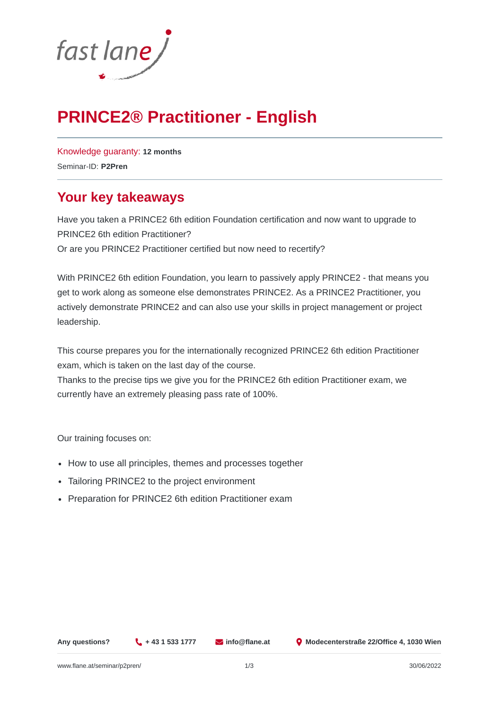

# **PRINCE2® Practitioner - English**

[Knowledge guaranty:](https://www.flane.at/seminar-guarantee/) **12 months** Seminar-ID: **P2Pren**

### **Your key takeaways**

Have you taken a PRINCE2 6th edition Foundation certification and now want to upgrade to PRINCE2 6th edition Practitioner? Or are you PRINCE2 Practitioner certified but now need to recertify?

With PRINCE2 6th edition Foundation, you learn to passively apply PRINCE2 - that means you get to work along as someone else demonstrates PRINCE2. As a PRINCE2 Practitioner, you actively demonstrate PRINCE2 and can also use your skills in project management or project leadership.

This course prepares you for the internationally recognized PRINCE2 6th edition Practitioner exam, which is taken on the last day of the course.

Thanks to the precise tips we give you for the PRINCE2 6th edition Practitioner exam, we currently have an extremely pleasing pass rate of 100%.

Our training focuses on:

- How to use all principles, themes and processes together
- Tailoring PRINCE2 to the project environment
- Preparation for PRINCE2 6th edition Practitioner exam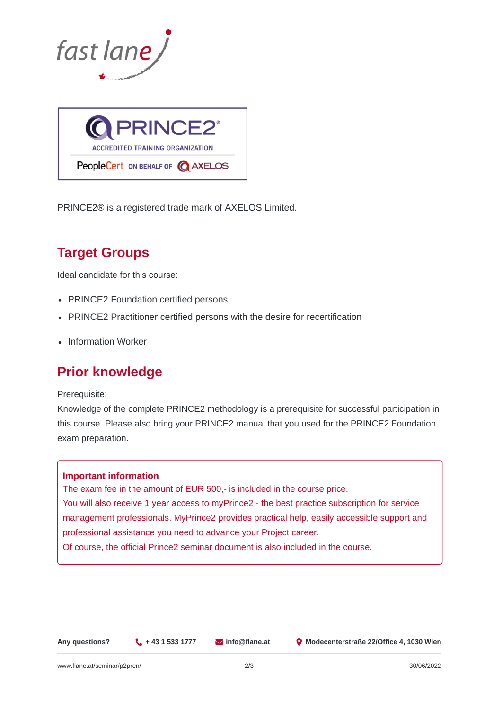



PRINCE2® is a registered trade mark of AXELOS Limited.

## **Target Groups**

Ideal candidate for this course:

- PRINCE2 Foundation certified persons
- PRINCE2 Practitioner certified persons with the desire for recertification
- Information Worker

### **Prior knowledge**

Prerequisite:

Knowledge of the complete PRINCE2 methodology is a prerequisite for successful participation in this course. Please also bring your PRINCE2 manual that you used for the PRINCE2 Foundation exam preparation.

### **Important information**

The exam fee in the amount of EUR 500,- is included in the course price. You will also receive 1 year access to myPrince2 - the best practice subscription for service management professionals. MyPrince2 provides practical help, easily accessible support and professional assistance you need to advance your Project career.

Of course, the official Prince2 seminar document is also included in the course.